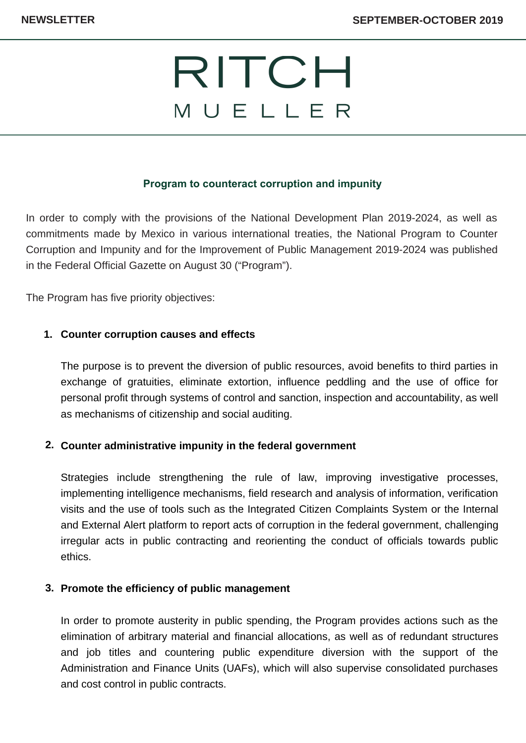# RITCH MUELLER

#### **Program to counteract corruption and impunity**

In order to comply with the provisions of the National Development Plan 2019-2024, as well as commitments made by Mexico in various international treaties, the National Program to Counter Corruption and Impunity and for the Improvement of Public Management 2019-2024 was published in the Federal Official Gazette on August 30 ("Program").

The Program has five priority objectives:

#### **Counter corruption causes and effects 1.**

The purpose is to prevent the diversion of public resources, avoid benefits to third parties in exchange of gratuities, eliminate extortion, influence peddling and the use of office for personal profit through systems of control and sanction, inspection and accountability, as well as mechanisms of citizenship and social auditing.

#### **Counter administrative impunity in the federal government 2.**

Strategies include strengthening the rule of law, improving investigative processes, implementing intelligence mechanisms, field research and analysis of information, verification visits and the use of tools such as the Integrated Citizen Complaints System or the Internal and External Alert platform to report acts of corruption in the federal government, challenging irregular acts in public contracting and reorienting the conduct of officials towards public ethics.

#### **Promote the efficiency of public management 3.**

In order to promote austerity in public spending, the Program provides actions such as the elimination of arbitrary material and financial allocations, as well as of redundant structures and job titles and countering public expenditure diversion with the support of the Administration and Finance Units (UAFs), which will also supervise consolidated purchases and cost control in public contracts.